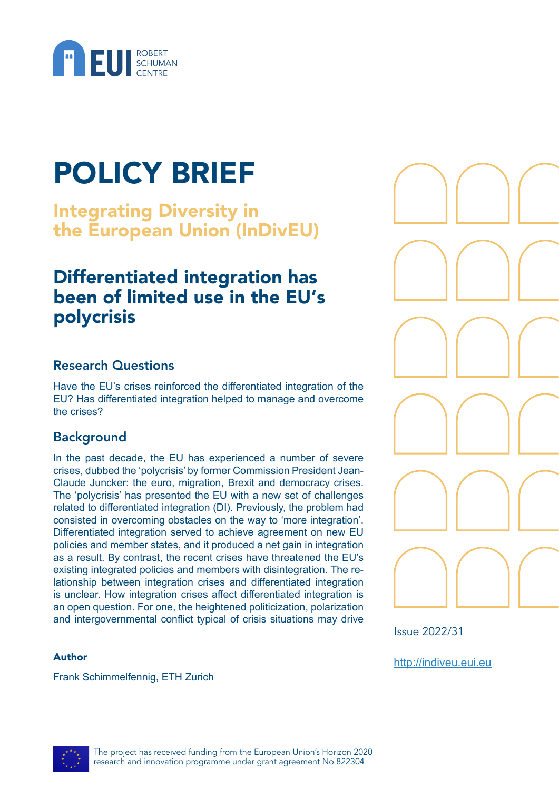

# POLICY BRIEF

Integrating Diversity in the European Union (InDivEU)

# Differentiated integration has been of limited use in the EU's polycrisis

#### Research Questions

Have the EU's crises reinforced the differentiated integration of the EU? Has differentiated integration helped to manage and overcome the crises?

## Background

In the past decade, the EU has experienced a number of severe crises, dubbed the 'polycrisis' by former Commission President Jean-Claude Juncker: the euro, migration, Brexit and democracy crises. The 'polycrisis' has presented the EU with a new set of challenges related to differentiated integration (DI). Previously, the problem had consisted in overcoming obstacles on the way to 'more integration'. Differentiated integration served to achieve agreement on new EU policies and member states, and it produced a net gain in integration as a result. By contrast, the recent crises have threatened the EU's existing integrated policies and members with disintegration. The relationship between integration crises and differentiated integration is unclear. How integration crises affect differentiated integration is an open question. For one, the heightened politicization, polarization and intergovernmental conflict typical of crisis situations may drive

#### Author

Frank Schimmelfennig, ETH Zurich



Issue 2022/31

<http://indiveu.eui.eu>

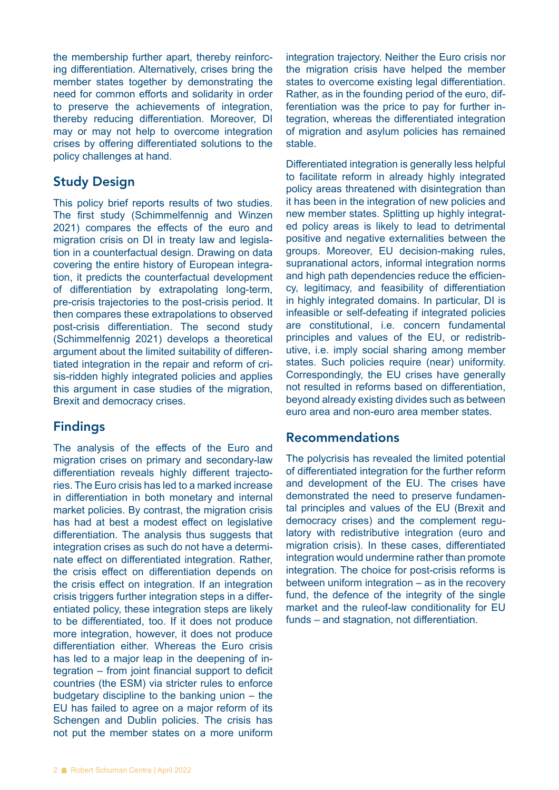the membership further apart, thereby reinforcing differentiation. Alternatively, crises bring the member states together by demonstrating the need for common efforts and solidarity in order to preserve the achievements of integration, thereby reducing differentiation. Moreover, DI may or may not help to overcome integration crises by offering differentiated solutions to the policy challenges at hand.

#### Study Design

This policy brief reports results of two studies. The first study (Schimmelfennig and Winzen 2021) compares the effects of the euro and migration crisis on DI in treaty law and legislation in a counterfactual design. Drawing on data covering the entire history of European integration, it predicts the counterfactual development of differentiation by extrapolating long-term, pre-crisis trajectories to the post-crisis period. It then compares these extrapolations to observed post-crisis differentiation. The second study (Schimmelfennig 2021) develops a theoretical argument about the limited suitability of differentiated integration in the repair and reform of crisis-ridden highly integrated policies and applies this argument in case studies of the migration, Brexit and democracy crises.

## Findings

The analysis of the effects of the Euro and migration crises on primary and secondary-law differentiation reveals highly different trajectories. The Euro crisis has led to a marked increase in differentiation in both monetary and internal market policies. By contrast, the migration crisis has had at best a modest effect on legislative differentiation. The analysis thus suggests that integration crises as such do not have a determinate effect on differentiated integration. Rather, the crisis effect on differentiation depends on the crisis effect on integration. If an integration crisis triggers further integration steps in a differentiated policy, these integration steps are likely to be differentiated, too. If it does not produce more integration, however, it does not produce differentiation either. Whereas the Euro crisis has led to a major leap in the deepening of integration – from joint financial support to deficit countries (the ESM) via stricter rules to enforce budgetary discipline to the banking union – the EU has failed to agree on a major reform of its Schengen and Dublin policies. The crisis has not put the member states on a more uniform

integration trajectory. Neither the Euro crisis nor the migration crisis have helped the member states to overcome existing legal differentiation. Rather, as in the founding period of the euro, differentiation was the price to pay for further integration, whereas the differentiated integration of migration and asylum policies has remained stable.

Differentiated integration is generally less helpful to facilitate reform in already highly integrated policy areas threatened with disintegration than it has been in the integration of new policies and new member states. Splitting up highly integrated policy areas is likely to lead to detrimental positive and negative externalities between the groups. Moreover, EU decision-making rules, supranational actors, informal integration norms and high path dependencies reduce the efficiency, legitimacy, and feasibility of differentiation in highly integrated domains. In particular, DI is infeasible or self-defeating if integrated policies are constitutional, i.e. concern fundamental principles and values of the EU, or redistributive, i.e. imply social sharing among member states. Such policies require (near) uniformity. Correspondingly, the EU crises have generally not resulted in reforms based on differentiation, beyond already existing divides such as between euro area and non-euro area member states.

#### Recommendations

The polycrisis has revealed the limited potential of differentiated integration for the further reform and development of the EU. The crises have demonstrated the need to preserve fundamental principles and values of the EU (Brexit and democracy crises) and the complement regulatory with redistributive integration (euro and migration crisis). In these cases, differentiated integration would undermine rather than promote integration. The choice for post-crisis reforms is between uniform integration – as in the recovery fund, the defence of the integrity of the single market and the ruleof-law conditionality for EU funds – and stagnation, not differentiation.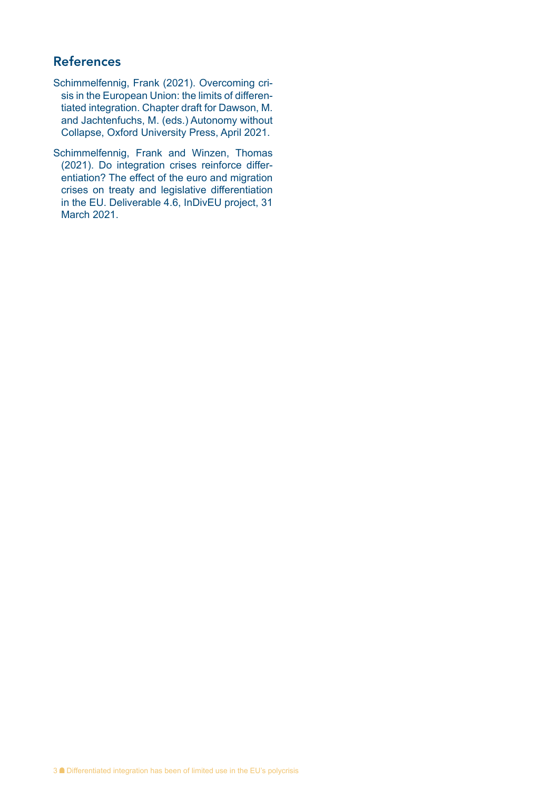#### References

- Schimmelfennig, Frank (2021). Overcoming crisis in the European Union: the limits of differentiated integration. Chapter draft for Dawson, M. and Jachtenfuchs, M. (eds.) Autonomy without Collapse, Oxford University Press, April 2021.
- Schimmelfennig, Frank and Winzen, Thomas (2021). Do integration crises reinforce differentiation? The effect of the euro and migration crises on treaty and legislative differentiation in the EU. Deliverable 4.6, InDivEU project, 31 March 2021.